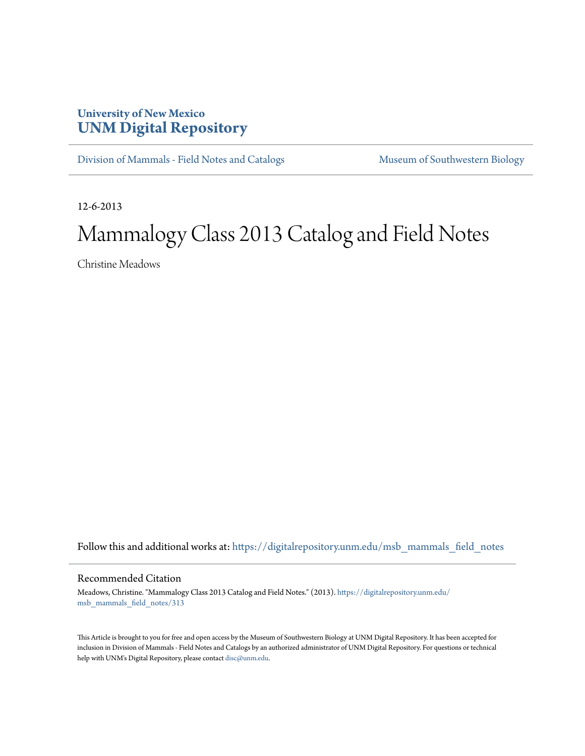## **University of New Mexico [UNM Digital Repository](https://digitalrepository.unm.edu?utm_source=digitalrepository.unm.edu%2Fmsb_mammals_field_notes%2F313&utm_medium=PDF&utm_campaign=PDFCoverPages)**

[Division of Mammals - Field Notes and Catalogs](https://digitalrepository.unm.edu/msb_mammals_field_notes?utm_source=digitalrepository.unm.edu%2Fmsb_mammals_field_notes%2F313&utm_medium=PDF&utm_campaign=PDFCoverPages) [Museum of Southwestern Biology](https://digitalrepository.unm.edu/msb?utm_source=digitalrepository.unm.edu%2Fmsb_mammals_field_notes%2F313&utm_medium=PDF&utm_campaign=PDFCoverPages)

12-6-2013

## Mammalogy Class 2013 Catalog and Field Notes

Christine Meadows

Follow this and additional works at: [https://digitalrepository.unm.edu/msb\\_mammals\\_field\\_notes](https://digitalrepository.unm.edu/msb_mammals_field_notes?utm_source=digitalrepository.unm.edu%2Fmsb_mammals_field_notes%2F313&utm_medium=PDF&utm_campaign=PDFCoverPages)

## Recommended Citation

Meadows, Christine. "Mammalogy Class 2013 Catalog and Field Notes." (2013). [https://digitalrepository.unm.edu/](https://digitalrepository.unm.edu/msb_mammals_field_notes/313?utm_source=digitalrepository.unm.edu%2Fmsb_mammals_field_notes%2F313&utm_medium=PDF&utm_campaign=PDFCoverPages) [msb\\_mammals\\_field\\_notes/313](https://digitalrepository.unm.edu/msb_mammals_field_notes/313?utm_source=digitalrepository.unm.edu%2Fmsb_mammals_field_notes%2F313&utm_medium=PDF&utm_campaign=PDFCoverPages)

This Article is brought to you for free and open access by the Museum of Southwestern Biology at UNM Digital Repository. It has been accepted for inclusion in Division of Mammals - Field Notes and Catalogs by an authorized administrator of UNM Digital Repository. For questions or technical help with UNM's Digital Repository, please contact [disc@unm.edu](mailto:disc@unm.edu).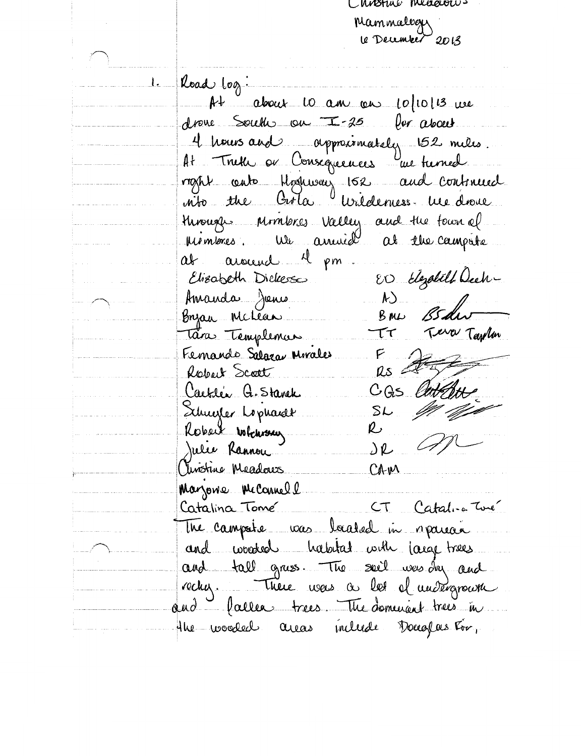Chostal measures Mammalogu le December 2013

Road log: <u>l.</u> At about to am an 10/10/13 we drove South on I-25 for about. 4 hours and approximately 152 miles. At Truth or Consequences une turned right anto Hoshway 162 and Continued into the Crola Viridenies. me droie Monge Monteres Valley and the town of at around 1 pm. ED Elezabeth Dech-Elizabeth Dickesso Amanda Jenes  $\langle k \rangle$ Byza Mchean  $B_{\mu\nu}$ Tara Templemas Terrer Tarolin  $\tau\tau$ Femando Salazar Mirales  $F$ <br> $\Omega s$ Robert Scott CGS lin Caetles Q. Stavek Schuefer Lophardt  $SL$ Robert whensey R Julie Rannou JR Christine Meadows CAM Marjone McCannell CT Catalice Twe Catalina Tome The campate was baated in reparecie and wooded habitat with large trees and tall grass. The sail was In and rechy. There was a les el madignaire and lacree trees. The dominant trees in the wooded areas include Douglas-For,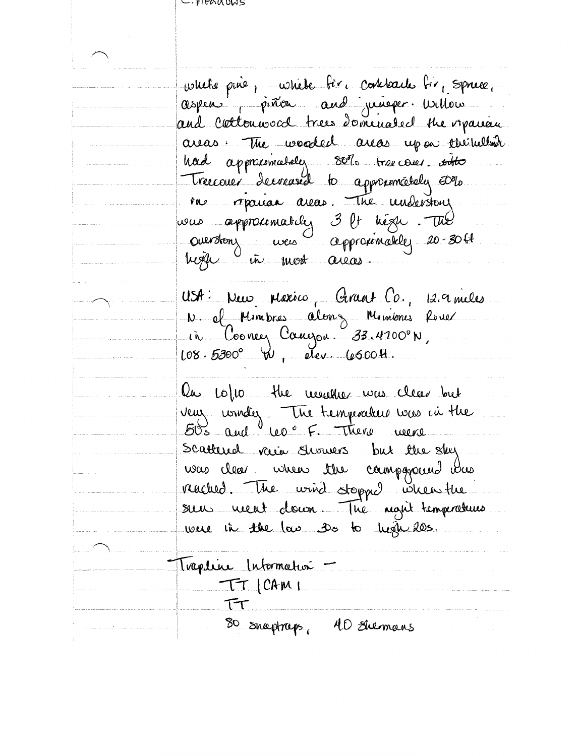whete pine, where fire concrete for sprice. aspen piñon and juneper willow and coetenwood trees dominated the orpanism areas. The wooded areas upon the hellow had approximately 80% tree cover sitte Treccouer decreased to approximately ED 10. ru repairan avas. The understang. was approximatily 3 lt high. The Overston, veu Approximately 20-3061. hoje in most aieas. USA: New Mexico, Grant Co., 12.9 miles N of Minibres along Minibres River in Cooney Caugon 33.4700°N,  $108.5300^{\circ}$  W, dev. 6600H. On 10/10 the weaker was clear but veux wonders The temperature was in the Scattered vaie Swamers but the sky. was clear when the campagneered was reached. The wind stopped when the seu neut donn. The agit temporatures were in the law so to high 20s. Thapline Intermation -TT CAMI TT SO snaptraps, 40 summans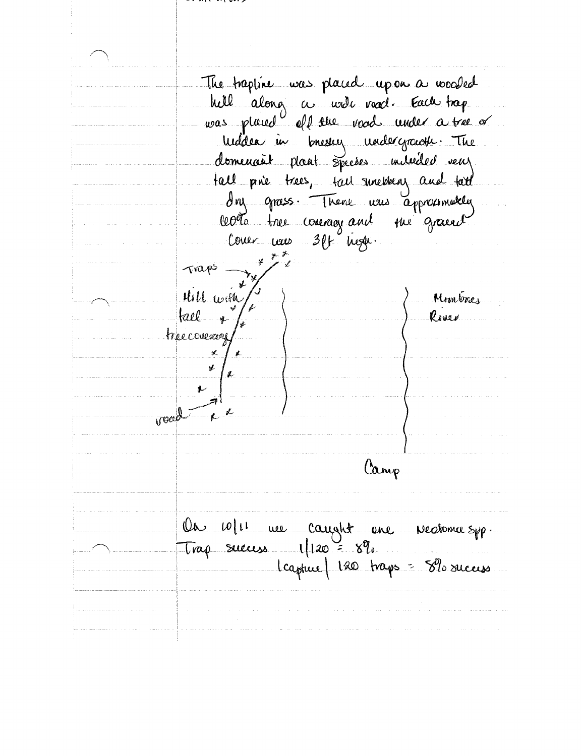The trapline was placed upon a wooded hell along a welc voord. Each trap<br>was placed all the voord under a tree or welden in bresser undergrowth. The domenait plant species inderited veux tall prie trees, tail sinestens and tail cotte tree coverage and the graced Traps Hill with Monteres  $|rel_{\dots}$ River treccoverage  $\mathbb{X}$ Ý irgac Camp On 10/11 we caught ene vectorie spp.  $Trap$  suecess  $1|120 = 8\%$ Capture 120 traps = 8% success.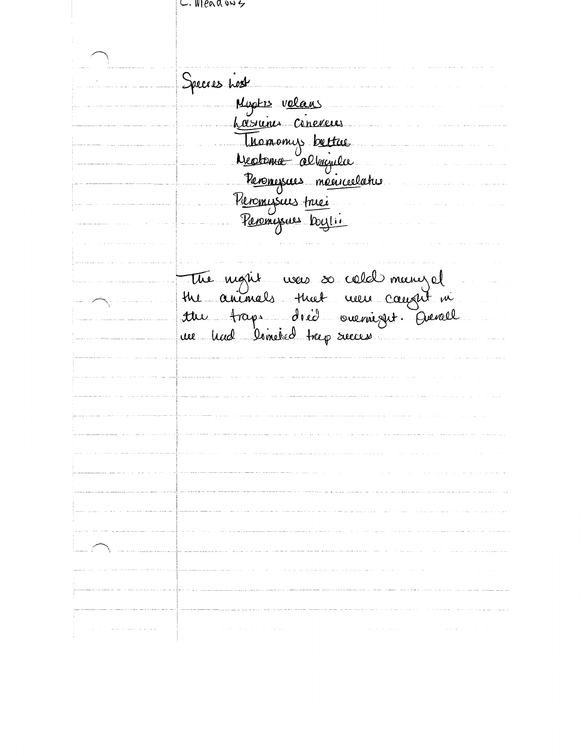$\cup$ . Weadows

Species Lost Norte volans<br>Musicine Cineveus<br>Mectome albanila<br>Neotome albanila<br>Peromissues meciccelative<br>Peromissues meci The night were so cold meny el<br>the animals that were caused in<br>the traps dred overniget Devall<br>we had limited trap secure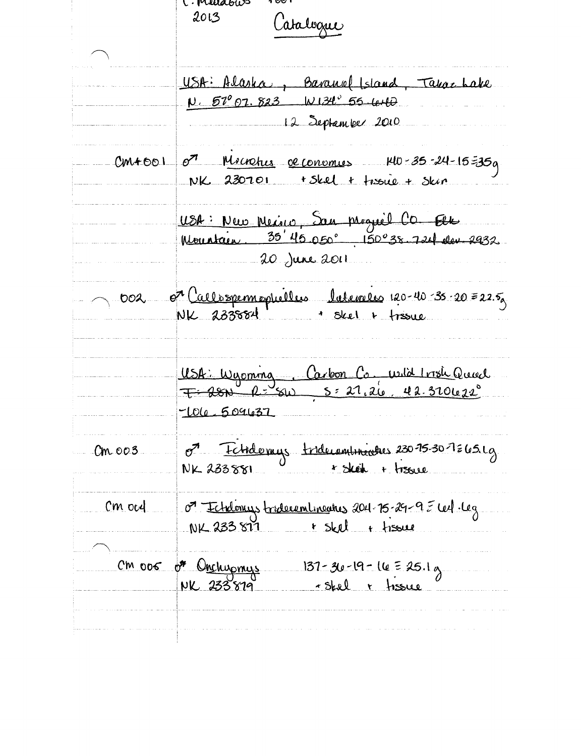C. Mudows  $2013$ Catalogue USA: Alaska, Baranol Island, Takaz Lake  $V. 57^{\circ}07.823 W134^{\circ}55.440$ 12 September 2010  $o^2$  Microbus de conomies  $40 - 35 - 24 - 15 = 35a$  $CM + 601$ NK 230701 + Skel + troue + Skin USA: New Meine, San progrèe CO. Elle Mountain, 35'45 050° 150°38.724 den 2932 20 June 2011 or Callespermophelles laterales 120-40-35-20=22.5  $002$ NK 233884 Skel + fresue USA: Wyoming Carbon Co, wild Irish Queel  $7 - 2800$   $2 - 5 = 27.26$   $42.320622$  $-1010.5091037$ O<sup>7</sup> Echidomys triduaminantes 230-75-30-7265.1g  $Cm.003$  $NK$   $233551$   $V$   $\rightarrow$   $5keh + 1560e$ O<sup>7</sup> Echdonus tridecomlineatus 2011-75-29-9 E cel·leg  $cm$  ocd NK 233877 + Skel + fissue  $cm$  006  $\sigma$  Onchupmys 137-30-19-16 = 25.1g NK 233879 - skel + tissue